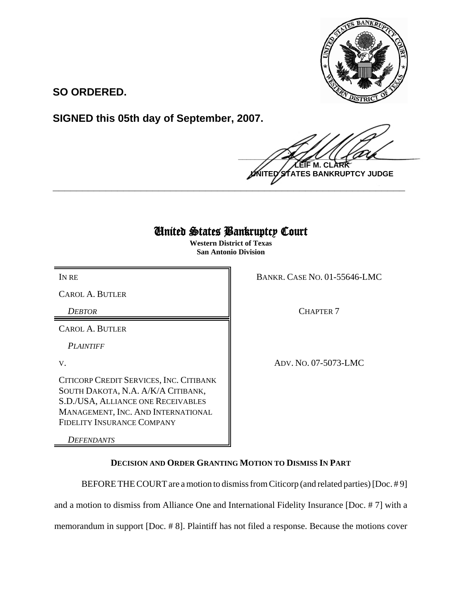

**SO ORDERED.**

**SIGNED this 05th day of September, 2007.**

 $\frac{1}{2}$ **LEIF M. CLARK ES BANKRUPTCY JUDGE** 

## United States Bankruptcy Court

**\_\_\_\_\_\_\_\_\_\_\_\_\_\_\_\_\_\_\_\_\_\_\_\_\_\_\_\_\_\_\_\_\_\_\_\_\_\_\_\_\_\_\_\_\_\_\_\_\_\_\_\_\_\_\_\_\_\_\_\_**

**Western District of Texas San Antonio Division**

CAROL A. BUTLER

CAROL A. BUTLER

*PLAINTIFF*

CITICORP CREDIT SERVICES, INC. CITIBANK SOUTH DAKOTA, N.A. A/K/A CITIBANK, S.D./USA, ALLIANCE ONE RECEIVABLES MANAGEMENT, INC. AND INTERNATIONAL FIDELITY INSURANCE COMPANY

*DEFENDANTS*

IN RE BANKR. CASE NO. 01-55646-LMC

**DEBTOR** CHAPTER 7

V. ADV. NO. 07-5073-LMC

**DECISION AND ORDER GRANTING MOTION TO DISMISS IN PART**

BEFORE THE COURT are a motion to dismiss from Citicorp (and related parties) [Doc. # 9] and a motion to dismiss from Alliance One and International Fidelity Insurance [Doc. # 7] with a

memorandum in support [Doc. # 8]. Plaintiff has not filed a response. Because the motions cover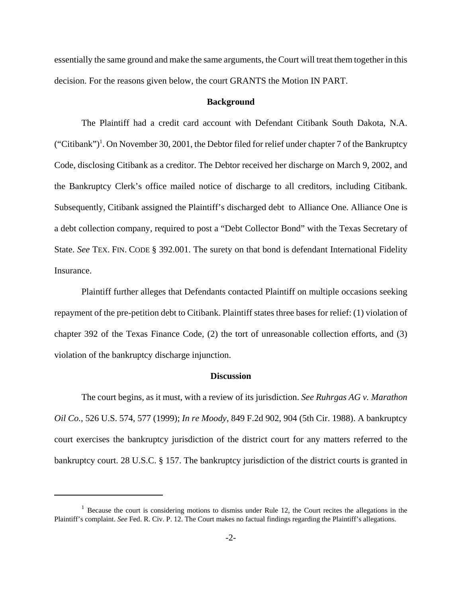essentially the same ground and make the same arguments, the Court will treat them together in this decision. For the reasons given below, the court GRANTS the Motion IN PART.

## **Background**

The Plaintiff had a credit card account with Defendant Citibank South Dakota, N.A. ("Citibank")<sup>1</sup>. On November 30, 2001, the Debtor filed for relief under chapter 7 of the Bankruptcy Code, disclosing Citibank as a creditor. The Debtor received her discharge on March 9, 2002, and the Bankruptcy Clerk's office mailed notice of discharge to all creditors, including Citibank. Subsequently, Citibank assigned the Plaintiff's discharged debt to Alliance One. Alliance One is a debt collection company, required to post a "Debt Collector Bond" with the Texas Secretary of State. *See* TEX. FIN. CODE § 392.001. The surety on that bond is defendant International Fidelity Insurance.

Plaintiff further alleges that Defendants contacted Plaintiff on multiple occasions seeking repayment of the pre-petition debt to Citibank. Plaintiff states three bases for relief: (1) violation of chapter 392 of the Texas Finance Code, (2) the tort of unreasonable collection efforts, and (3) violation of the bankruptcy discharge injunction.

## **Discussion**

The court begins, as it must, with a review of its jurisdiction. *See Ruhrgas AG v. Marathon Oil Co.*, 526 U.S. 574, 577 (1999); *In re Moody*, 849 F.2d 902, 904 (5th Cir. 1988). A bankruptcy court exercises the bankruptcy jurisdiction of the district court for any matters referred to the bankruptcy court. 28 U.S.C. § 157. The bankruptcy jurisdiction of the district courts is granted in

 $1$  Because the court is considering motions to dismiss under Rule 12, the Court recites the allegations in the Plaintiff's complaint. *See* Fed. R. Civ. P. 12. The Court makes no factual findings regarding the Plaintiff's allegations.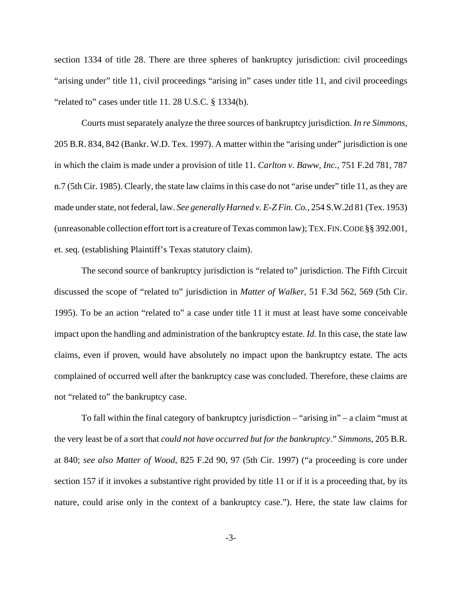section 1334 of title 28. There are three spheres of bankruptcy jurisdiction: civil proceedings "arising under" title 11, civil proceedings "arising in" cases under title 11, and civil proceedings "related to" cases under title 11. 28 U.S.C. § 1334(b).

Courts must separately analyze the three sources of bankruptcy jurisdiction. *In re Simmons*, 205 B.R. 834, 842 (Bankr. W.D. Tex. 1997). A matter within the "arising under" jurisdiction is one in which the claim is made under a provision of title 11. *Carlton v. Baww, Inc.*, 751 F.2d 781, 787 n.7 (5th Cir. 1985). Clearly, the state law claims in this case do not "arise under" title 11, as they are made under state, not federal, law. *See generally Harned v. E-Z Fin. Co.*, 254 S.W.2d 81 (Tex. 1953) (unreasonable collection effort tort is a creature of Texas common law); TEX.FIN.CODE §§ 392.001, et. seq. (establishing Plaintiff's Texas statutory claim).

The second source of bankruptcy jurisdiction is "related to" jurisdiction. The Fifth Circuit discussed the scope of "related to" jurisdiction in *Matter of Walker*, 51 F.3d 562, 569 (5th Cir. 1995). To be an action "related to" a case under title 11 it must at least have some conceivable impact upon the handling and administration of the bankruptcy estate. *Id.* In this case, the state law claims, even if proven, would have absolutely no impact upon the bankruptcy estate. The acts complained of occurred well after the bankruptcy case was concluded. Therefore, these claims are not "related to" the bankruptcy case.

To fall within the final category of bankruptcy jurisdiction – "arising in" – a claim "must at the very least be of a sort that *could not have occurred but for the bankruptcy*." *Simmons*, 205 B.R. at 840; *see also Matter of Wood*, 825 F.2d 90, 97 (5th Cir. 1997) ("a proceeding is core under section 157 if it invokes a substantive right provided by title 11 or if it is a proceeding that, by its nature, could arise only in the context of a bankruptcy case."). Here, the state law claims for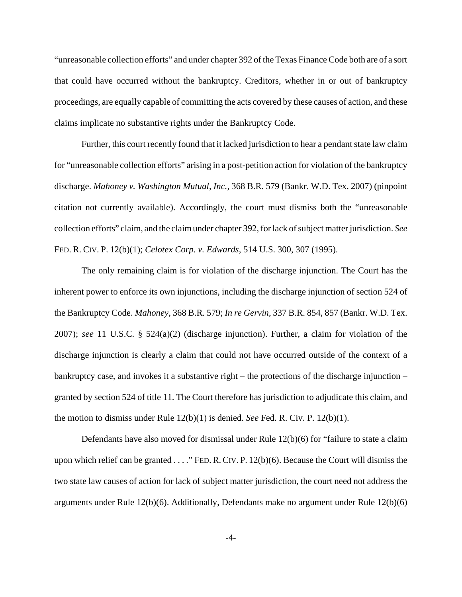"unreasonable collection efforts" and under chapter 392 of the Texas Finance Code both are of a sort that could have occurred without the bankruptcy. Creditors, whether in or out of bankruptcy proceedings, are equally capable of committing the acts covered by these causes of action, and these claims implicate no substantive rights under the Bankruptcy Code.

Further, this court recently found that it lacked jurisdiction to hear a pendant state law claim for "unreasonable collection efforts" arising in a post-petition action for violation of the bankruptcy discharge. *Mahoney v. Washington Mutual, Inc.*, 368 B.R. 579 (Bankr. W.D. Tex. 2007) (pinpoint citation not currently available). Accordingly, the court must dismiss both the "unreasonable collection efforts" claim, and the claim under chapter 392, for lack of subject matter jurisdiction. *See* FED. R. CIV. P. 12(b)(1); *Celotex Corp. v. Edwards*, 514 U.S. 300, 307 (1995).

The only remaining claim is for violation of the discharge injunction. The Court has the inherent power to enforce its own injunctions, including the discharge injunction of section 524 of the Bankruptcy Code. *Mahoney*, 368 B.R. 579; *In re Gervin*, 337 B.R. 854, 857 (Bankr. W.D. Tex. 2007); *see* 11 U.S.C. § 524(a)(2) (discharge injunction). Further, a claim for violation of the discharge injunction is clearly a claim that could not have occurred outside of the context of a bankruptcy case, and invokes it a substantive right – the protections of the discharge injunction – granted by section 524 of title 11. The Court therefore has jurisdiction to adjudicate this claim, and the motion to dismiss under Rule 12(b)(1) is denied. *See* Fed. R. Civ. P. 12(b)(1).

Defendants have also moved for dismissal under Rule 12(b)(6) for "failure to state a claim upon which relief can be granted . . . ." FED.R.CIV. P. 12(b)(6). Because the Court will dismiss the two state law causes of action for lack of subject matter jurisdiction, the court need not address the arguments under Rule 12(b)(6). Additionally, Defendants make no argument under Rule 12(b)(6)